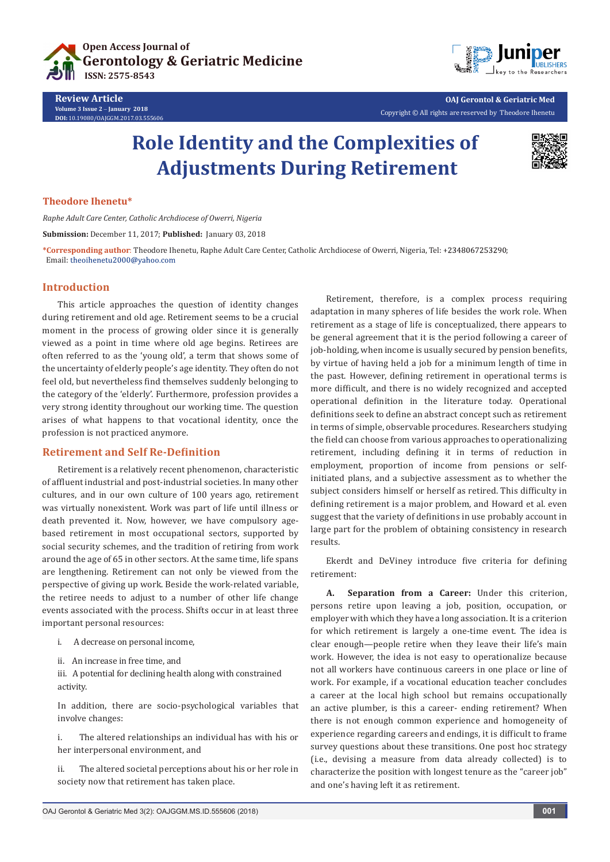



**OAJ Gerontol & Geriatric Med** Copyright © All rights are reserved by Theodore Ihenetu

# **Role Identity and the Complexities of Adjustments During Retirement**



## **Theodore Ihenetu\***

*Raphe Adult Care Center, Catholic Archdiocese of Owerri, Nigeria*

**Submission:** December 11, 2017; **Published:** January 03, 2018

**\*Corresponding author**: Theodore Ihenetu, Raphe Adult Care Center, Catholic Archdiocese of Owerri, Nigeria, Tel: ; Email: theoihenetu2000@yahoo.com

#### **Introduction**

This article approaches the question of identity changes during retirement and old age. Retirement seems to be a crucial moment in the process of growing older since it is generally viewed as a point in time where old age begins. Retirees are often referred to as the 'young old', a term that shows some of the uncertainty of elderly people's age identity. They often do not feel old, but nevertheless find themselves suddenly belonging to the category of the 'elderly'. Furthermore, profession provides a very strong identity throughout our working time. The question arises of what happens to that vocational identity, once the profession is not practiced anymore.

### **Retirement and Self Re-Definition**

Retirement is a relatively recent phenomenon, characteristic of affluent industrial and post-industrial societies. In many other cultures, and in our own culture of 100 years ago, retirement was virtually nonexistent. Work was part of life until illness or death prevented it. Now, however, we have compulsory agebased retirement in most occupational sectors, supported by social security schemes, and the tradition of retiring from work around the age of 65 in other sectors. At the same time, life spans are lengthening. Retirement can not only be viewed from the perspective of giving up work. Beside the work-related variable, the retiree needs to adjust to a number of other life change events associated with the process. Shifts occur in at least three important personal resources:

- i. A decrease on personal income,
- ii. An increase in free time, and

iii. A potential for declining health along with constrained activity.

In addition, there are socio-psychological variables that involve changes:

i. The altered relationships an individual has with his or her interpersonal environment, and

ii. The altered societal perceptions about his or her role in society now that retirement has taken place.

Retirement, therefore, is a complex process requiring adaptation in many spheres of life besides the work role. When retirement as a stage of life is conceptualized, there appears to be general agreement that it is the period following a career of job-holding, when income is usually secured by pension benefits, by virtue of having held a job for a minimum length of time in the past. However, defining retirement in operational terms is more difficult, and there is no widely recognized and accepted operational definition in the literature today. Operational definitions seek to define an abstract concept such as retirement in terms of simple, observable procedures. Researchers studying the field can choose from various approaches to operationalizing retirement, including defining it in terms of reduction in employment, proportion of income from pensions or selfinitiated plans, and a subjective assessment as to whether the subject considers himself or herself as retired. This difficulty in defining retirement is a major problem, and Howard et al. even suggest that the variety of definitions in use probably account in large part for the problem of obtaining consistency in research results.

Ekerdt and DeViney introduce five criteria for defining retirement:

**A. Separation from a Career:** Under this criterion, persons retire upon leaving a job, position, occupation, or employer with which they have a long association. It is a criterion for which retirement is largely a one-time event. The idea is clear enough—people retire when they leave their life's main work. However, the idea is not easy to operationalize because not all workers have continuous careers in one place or line of work. For example, if a vocational education teacher concludes a career at the local high school but remains occupationally an active plumber, is this a career- ending retirement? When there is not enough common experience and homogeneity of experience regarding careers and endings, it is difficult to frame survey questions about these transitions. One post hoc strategy (i.e., devising a measure from data already collected) is to characterize the position with longest tenure as the "career job" and one's having left it as retirement.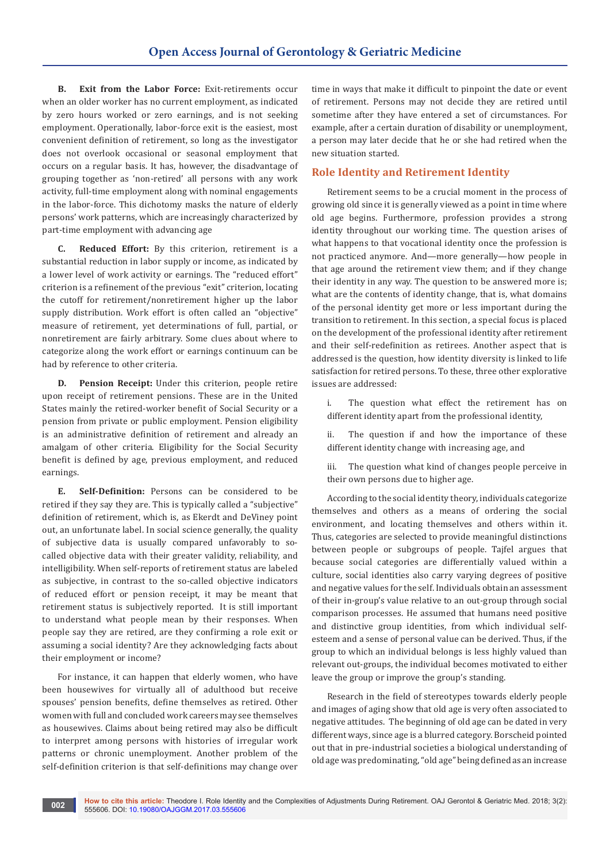**B. Exit from the Labor Force:** Exit-retirements occur when an older worker has no current employment, as indicated by zero hours worked or zero earnings, and is not seeking employment. Operationally, labor-force exit is the easiest, most convenient definition of retirement, so long as the investigator does not overlook occasional or seasonal employment that occurs on a regular basis. It has, however, the disadvantage of grouping together as 'non-retired' all persons with any work activity, full-time employment along with nominal engagements in the labor-force. This dichotomy masks the nature of elderly persons' work patterns, which are increasingly characterized by part-time employment with advancing age

**C. Reduced Effort:** By this criterion, retirement is a substantial reduction in labor supply or income, as indicated by a lower level of work activity or earnings. The "reduced effort" criterion is a refinement of the previous "exit" criterion, locating the cutoff for retirement/nonretirement higher up the labor supply distribution. Work effort is often called an "objective" measure of retirement, yet determinations of full, partial, or nonretirement are fairly arbitrary. Some clues about where to categorize along the work effort or earnings continuum can be had by reference to other criteria.

**D. Pension Receipt:** Under this criterion, people retire upon receipt of retirement pensions. These are in the United States mainly the retired-worker benefit of Social Security or a pension from private or public employment. Pension eligibility is an administrative definition of retirement and already an amalgam of other criteria. Eligibility for the Social Security benefit is defined by age, previous employment, and reduced earnings.

**E. Self-Definition:** Persons can be considered to be retired if they say they are. This is typically called a "subjective" definition of retirement, which is, as Ekerdt and DeViney point out, an unfortunate label. In social science generally, the quality of subjective data is usually compared unfavorably to socalled objective data with their greater validity, reliability, and intelligibility. When self-reports of retirement status are labeled as subjective, in contrast to the so-called objective indicators of reduced effort or pension receipt, it may be meant that retirement status is subjectively reported. It is still important to understand what people mean by their responses. When people say they are retired, are they confirming a role exit or assuming a social identity? Are they acknowledging facts about their employment or income?

For instance, it can happen that elderly women, who have been housewives for virtually all of adulthood but receive spouses' pension benefits, define themselves as retired. Other women with full and concluded work careers may see themselves as housewives. Claims about being retired may also be difficult to interpret among persons with histories of irregular work patterns or chronic unemployment. Another problem of the self-definition criterion is that self-definitions may change over time in ways that make it difficult to pinpoint the date or event of retirement. Persons may not decide they are retired until sometime after they have entered a set of circumstances. For example, after a certain duration of disability or unemployment, a person may later decide that he or she had retired when the new situation started.

## **Role Identity and Retirement Identity**

Retirement seems to be a crucial moment in the process of growing old since it is generally viewed as a point in time where old age begins. Furthermore, profession provides a strong identity throughout our working time. The question arises of what happens to that vocational identity once the profession is not practiced anymore. And—more generally—how people in that age around the retirement view them; and if they change their identity in any way. The question to be answered more is; what are the contents of identity change, that is, what domains of the personal identity get more or less important during the transition to retirement. In this section, a special focus is placed on the development of the professional identity after retirement and their self-redefinition as retirees. Another aspect that is addressed is the question, how identity diversity is linked to life satisfaction for retired persons. To these, three other explorative issues are addressed:

i. The question what effect the retirement has on different identity apart from the professional identity,

ii. The question if and how the importance of these different identity change with increasing age, and

iii. The question what kind of changes people perceive in their own persons due to higher age.

According to the social identity theory, individuals categorize themselves and others as a means of ordering the social environment, and locating themselves and others within it. Thus, categories are selected to provide meaningful distinctions between people or subgroups of people. Tajfel argues that because social categories are differentially valued within a culture, social identities also carry varying degrees of positive and negative values for the self. Individuals obtain an assessment of their in-group's value relative to an out-group through social comparison processes. He assumed that humans need positive and distinctive group identities, from which individual selfesteem and a sense of personal value can be derived. Thus, if the group to which an individual belongs is less highly valued than relevant out-groups, the individual becomes motivated to either leave the group or improve the group's standing.

Research in the field of stereotypes towards elderly people and images of aging show that old age is very often associated to negative attitudes. The beginning of old age can be dated in very different ways, since age is a blurred category. Borscheid pointed out that in pre-industrial societies a biological understanding of old age was predominating, "old age" being defined as an increase